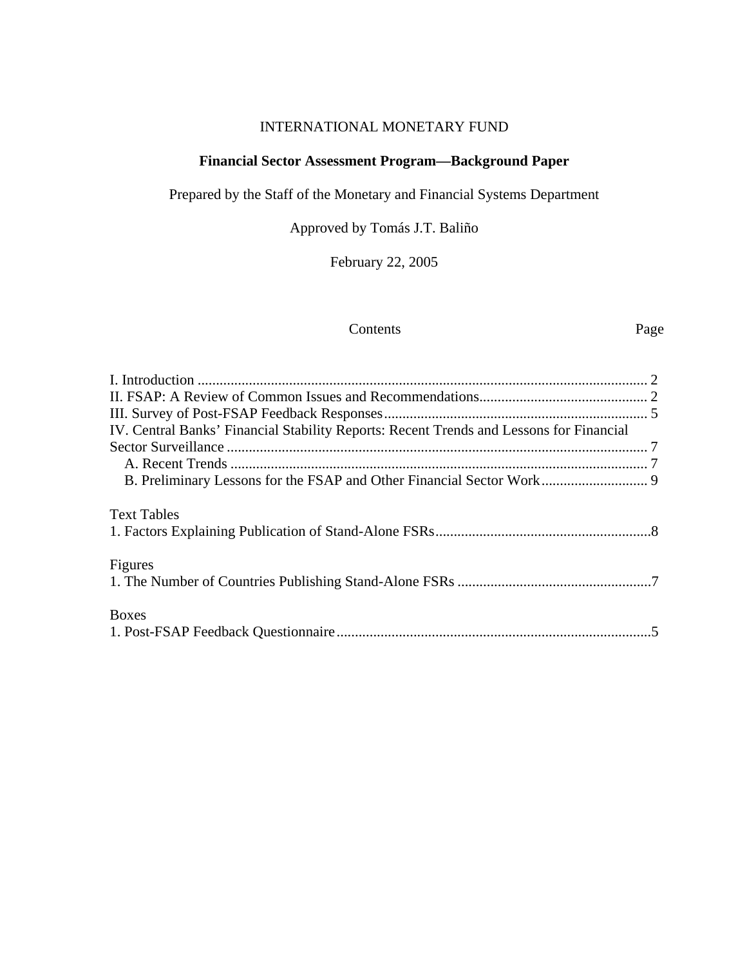# INTERNATIONAL MONETARY FUND

## **Financial Sector Assessment Program—Background Paper**

Prepared by the Staff of the Monetary and Financial Systems Department

Approved by Tomás J.T. Baliño

February 22, 2005

#### Contents Page

| IV. Central Banks' Financial Stability Reports: Recent Trends and Lessons for Financial |  |
|-----------------------------------------------------------------------------------------|--|
|                                                                                         |  |
|                                                                                         |  |
|                                                                                         |  |
| <b>Text Tables</b>                                                                      |  |
|                                                                                         |  |
| Figures                                                                                 |  |
|                                                                                         |  |
| <b>Boxes</b>                                                                            |  |
|                                                                                         |  |
|                                                                                         |  |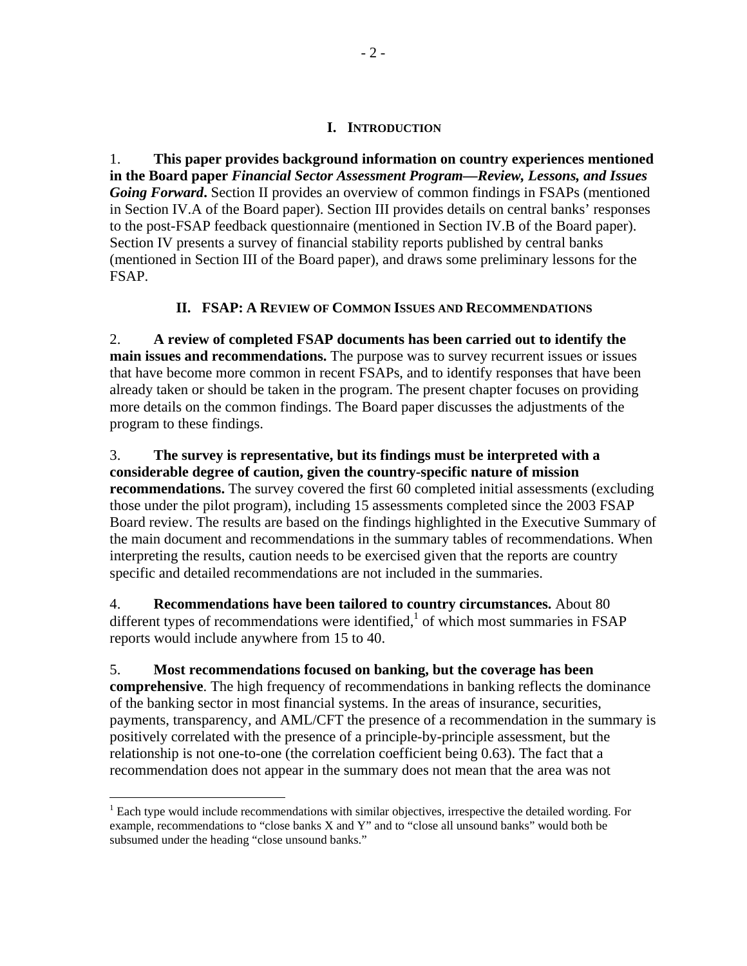## **I. INTRODUCTION**

1. **This paper provides background information on country experiences mentioned in the Board paper** *Financial Sector Assessment Program—Review, Lessons, and Issues Going Forward***.** Section II provides an overview of common findings in FSAPs (mentioned in Section IV.A of the Board paper). Section III provides details on central banks' responses to the post-FSAP feedback questionnaire (mentioned in Section IV.B of the Board paper). Section IV presents a survey of financial stability reports published by central banks (mentioned in Section III of the Board paper), and draws some preliminary lessons for the FSAP.

## **II. FSAP: A REVIEW OF COMMON ISSUES AND RECOMMENDATIONS**

2. **A review of completed FSAP documents has been carried out to identify the main issues and recommendations.** The purpose was to survey recurrent issues or issues that have become more common in recent FSAPs, and to identify responses that have been already taken or should be taken in the program. The present chapter focuses on providing more details on the common findings. The Board paper discusses the adjustments of the program to these findings.

3. **The survey is representative, but its findings must be interpreted with a considerable degree of caution, given the country-specific nature of mission recommendations.** The survey covered the first 60 completed initial assessments (excluding those under the pilot program), including 15 assessments completed since the 2003 FSAP Board review. The results are based on the findings highlighted in the Executive Summary of the main document and recommendations in the summary tables of recommendations. When interpreting the results, caution needs to be exercised given that the reports are country specific and detailed recommendations are not included in the summaries.

4. **Recommendations have been tailored to country circumstances.** About 80 different types of recommendations were identified, $\frac{1}{1}$  of which most summaries in FSAP reports would include anywhere from 15 to 40.

## 5. **Most recommendations focused on banking, but the coverage has been**

**comprehensive**. The high frequency of recommendations in banking reflects the dominance of the banking sector in most financial systems. In the areas of insurance, securities, payments, transparency, and AML/CFT the presence of a recommendation in the summary is positively correlated with the presence of a principle-by-principle assessment, but the relationship is not one-to-one (the correlation coefficient being 0.63). The fact that a recommendation does not appear in the summary does not mean that the area was not

<u>.</u>

 $<sup>1</sup>$  Each type would include recommendations with similar objectives, irrespective the detailed wording. For</sup> example, recommendations to "close banks X and Y" and to "close all unsound banks" would both be subsumed under the heading "close unsound banks."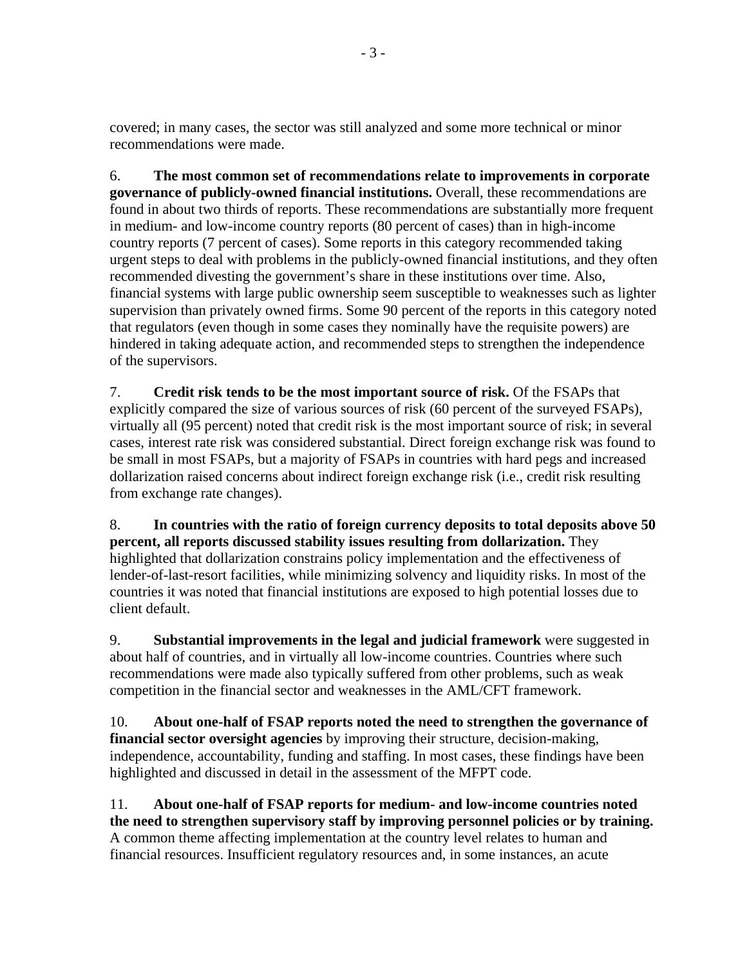covered; in many cases, the sector was still analyzed and some more technical or minor recommendations were made.

6. **The most common set of recommendations relate to improvements in corporate governance of publicly-owned financial institutions.** Overall, these recommendations are found in about two thirds of reports. These recommendations are substantially more frequent in medium- and low-income country reports (80 percent of cases) than in high-income country reports (7 percent of cases). Some reports in this category recommended taking urgent steps to deal with problems in the publicly-owned financial institutions, and they often recommended divesting the government's share in these institutions over time. Also, financial systems with large public ownership seem susceptible to weaknesses such as lighter supervision than privately owned firms. Some 90 percent of the reports in this category noted that regulators (even though in some cases they nominally have the requisite powers) are hindered in taking adequate action, and recommended steps to strengthen the independence of the supervisors.

7. **Credit risk tends to be the most important source of risk.** Of the FSAPs that explicitly compared the size of various sources of risk (60 percent of the surveyed FSAPs), virtually all (95 percent) noted that credit risk is the most important source of risk; in several cases, interest rate risk was considered substantial. Direct foreign exchange risk was found to be small in most FSAPs, but a majority of FSAPs in countries with hard pegs and increased dollarization raised concerns about indirect foreign exchange risk (i.e., credit risk resulting from exchange rate changes).

8. **In countries with the ratio of foreign currency deposits to total deposits above 50 percent, all reports discussed stability issues resulting from dollarization.** They highlighted that dollarization constrains policy implementation and the effectiveness of lender-of-last-resort facilities, while minimizing solvency and liquidity risks. In most of the countries it was noted that financial institutions are exposed to high potential losses due to client default.

9. **Substantial improvements in the legal and judicial framework** were suggested in about half of countries, and in virtually all low-income countries. Countries where such recommendations were made also typically suffered from other problems, such as weak competition in the financial sector and weaknesses in the AML/CFT framework.

10. **About one-half of FSAP reports noted the need to strengthen the governance of financial sector oversight agencies** by improving their structure, decision-making, independence, accountability, funding and staffing. In most cases, these findings have been highlighted and discussed in detail in the assessment of the MFPT code.

11. **About one-half of FSAP reports for medium- and low-income countries noted the need to strengthen supervisory staff by improving personnel policies or by training.** A common theme affecting implementation at the country level relates to human and financial resources. Insufficient regulatory resources and, in some instances, an acute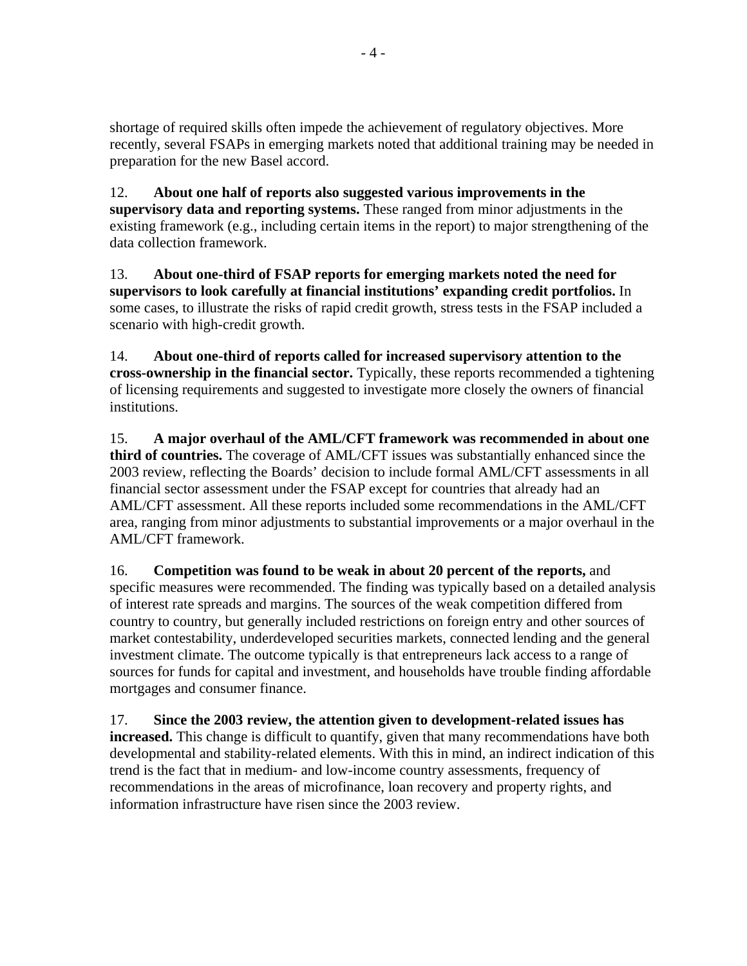shortage of required skills often impede the achievement of regulatory objectives. More recently, several FSAPs in emerging markets noted that additional training may be needed in preparation for the new Basel accord.

12. **About one half of reports also suggested various improvements in the supervisory data and reporting systems.** These ranged from minor adjustments in the existing framework (e.g., including certain items in the report) to major strengthening of the data collection framework.

13. **About one-third of FSAP reports for emerging markets noted the need for supervisors to look carefully at financial institutions' expanding credit portfolios.** In some cases, to illustrate the risks of rapid credit growth, stress tests in the FSAP included a scenario with high-credit growth.

14. **About one-third of reports called for increased supervisory attention to the cross-ownership in the financial sector.** Typically, these reports recommended a tightening of licensing requirements and suggested to investigate more closely the owners of financial institutions.

15. **A major overhaul of the AML/CFT framework was recommended in about one third of countries.** The coverage of AML/CFT issues was substantially enhanced since the 2003 review, reflecting the Boards' decision to include formal AML/CFT assessments in all financial sector assessment under the FSAP except for countries that already had an AML/CFT assessment. All these reports included some recommendations in the AML/CFT area, ranging from minor adjustments to substantial improvements or a major overhaul in the AML/CFT framework.

16. **Competition was found to be weak in about 20 percent of the reports,** and specific measures were recommended. The finding was typically based on a detailed analysis of interest rate spreads and margins. The sources of the weak competition differed from country to country, but generally included restrictions on foreign entry and other sources of market contestability, underdeveloped securities markets, connected lending and the general investment climate. The outcome typically is that entrepreneurs lack access to a range of sources for funds for capital and investment, and households have trouble finding affordable mortgages and consumer finance.

17. **Since the 2003 review, the attention given to development-related issues has increased.** This change is difficult to quantify, given that many recommendations have both developmental and stability-related elements. With this in mind, an indirect indication of this trend is the fact that in medium- and low-income country assessments, frequency of recommendations in the areas of microfinance, loan recovery and property rights, and information infrastructure have risen since the 2003 review.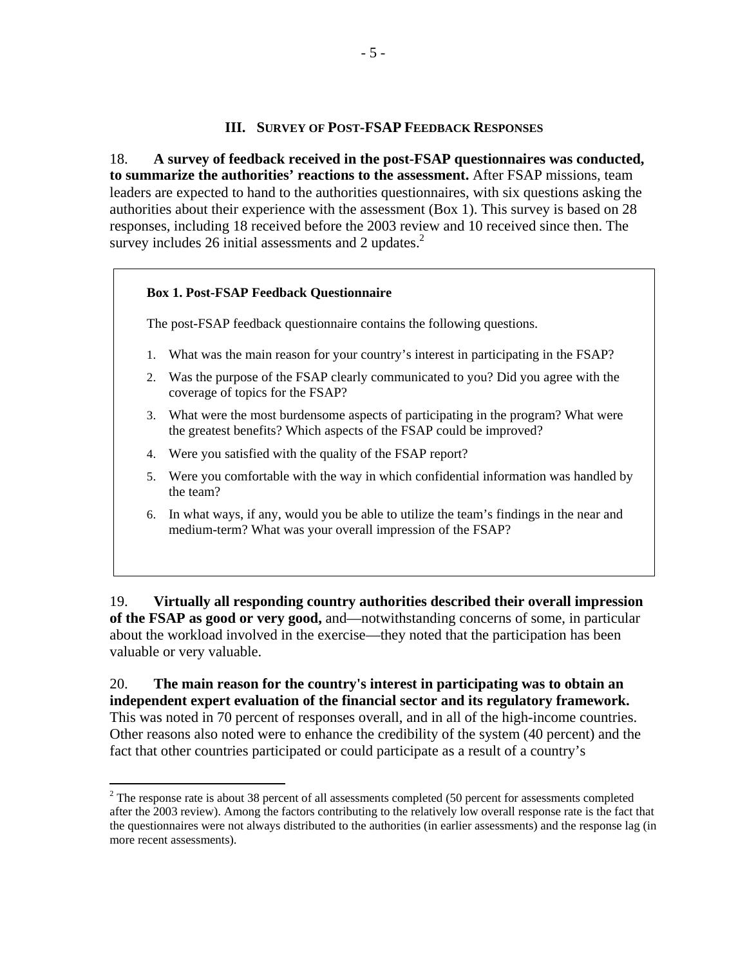#### **III. SURVEY OF POST-FSAP FEEDBACK RESPONSES**

18. **A survey of feedback received in the post-FSAP questionnaires was conducted, to summarize the authorities' reactions to the assessment.** After FSAP missions, team leaders are expected to hand to the authorities questionnaires, with six questions asking the authorities about their experience with the assessment (Box 1). This survey is based on 28 responses, including 18 received before the 2003 review and 10 received since then. The survey includes 26 initial assessments and 2 updates. $<sup>2</sup>$ </sup>

#### **Box 1. Post-FSAP Feedback Questionnaire**

 $\overline{a}$ 

The post-FSAP feedback questionnaire contains the following questions.

- 1. What was the main reason for your country's interest in participating in the FSAP?
- 2. Was the purpose of the FSAP clearly communicated to you? Did you agree with the coverage of topics for the FSAP?
- 3. What were the most burdensome aspects of participating in the program? What were the greatest benefits? Which aspects of the FSAP could be improved?
- 4. Were you satisfied with the quality of the FSAP report?
- 5. Were you comfortable with the way in which confidential information was handled by the team?
- 6. In what ways, if any, would you be able to utilize the team's findings in the near and medium-term? What was your overall impression of the FSAP?

19. **Virtually all responding country authorities described their overall impression of the FSAP as good or very good,** and—notwithstanding concerns of some, in particular about the workload involved in the exercise—they noted that the participation has been valuable or very valuable.

20. **The main reason for the country's interest in participating was to obtain an independent expert evaluation of the financial sector and its regulatory framework.** This was noted in 70 percent of responses overall, and in all of the high-income countries. Other reasons also noted were to enhance the credibility of the system (40 percent) and the fact that other countries participated or could participate as a result of a country's

 $2^2$  The response rate is about 38 percent of all assessments completed (50 percent for assessments completed after the 2003 review). Among the factors contributing to the relatively low overall response rate is the fact that the questionnaires were not always distributed to the authorities (in earlier assessments) and the response lag (in more recent assessments).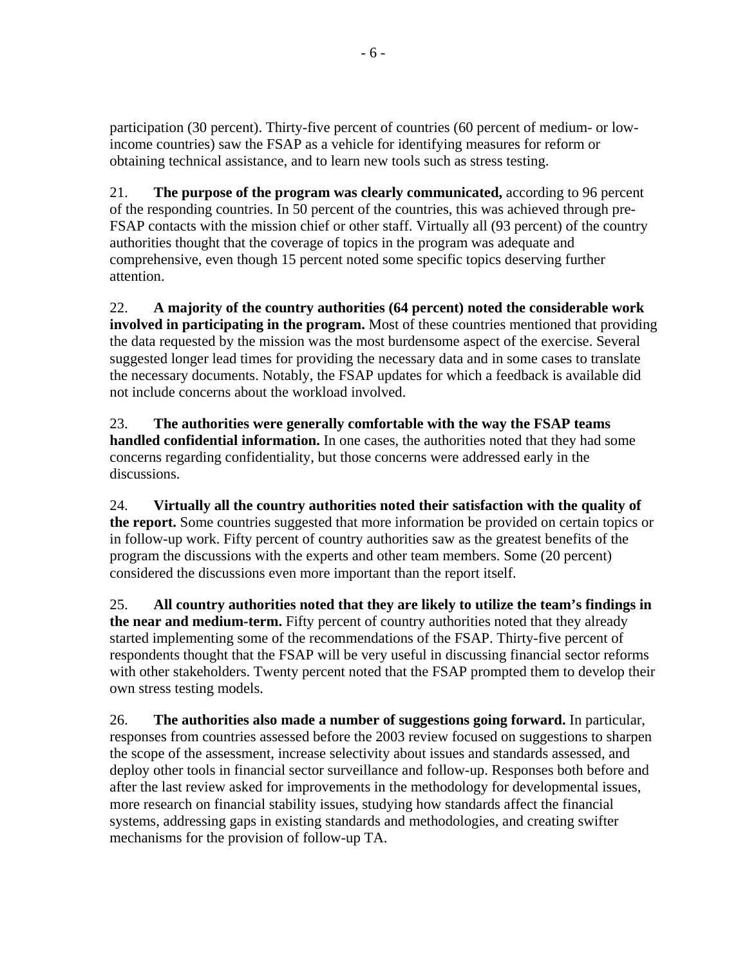participation (30 percent). Thirty-five percent of countries (60 percent of medium- or lowincome countries) saw the FSAP as a vehicle for identifying measures for reform or obtaining technical assistance, and to learn new tools such as stress testing.

21. **The purpose of the program was clearly communicated,** according to 96 percent of the responding countries. In 50 percent of the countries, this was achieved through pre-FSAP contacts with the mission chief or other staff. Virtually all (93 percent) of the country authorities thought that the coverage of topics in the program was adequate and comprehensive, even though 15 percent noted some specific topics deserving further attention.

22. **A majority of the country authorities (64 percent) noted the considerable work involved in participating in the program.** Most of these countries mentioned that providing the data requested by the mission was the most burdensome aspect of the exercise. Several suggested longer lead times for providing the necessary data and in some cases to translate the necessary documents. Notably, the FSAP updates for which a feedback is available did not include concerns about the workload involved.

23. **The authorities were generally comfortable with the way the FSAP teams handled confidential information.** In one cases, the authorities noted that they had some concerns regarding confidentiality, but those concerns were addressed early in the discussions.

24. **Virtually all the country authorities noted their satisfaction with the quality of the report.** Some countries suggested that more information be provided on certain topics or in follow-up work. Fifty percent of country authorities saw as the greatest benefits of the program the discussions with the experts and other team members. Some (20 percent) considered the discussions even more important than the report itself.

25. **All country authorities noted that they are likely to utilize the team's findings in the near and medium-term.** Fifty percent of country authorities noted that they already started implementing some of the recommendations of the FSAP. Thirty-five percent of respondents thought that the FSAP will be very useful in discussing financial sector reforms with other stakeholders. Twenty percent noted that the FSAP prompted them to develop their own stress testing models.

26. **The authorities also made a number of suggestions going forward.** In particular, responses from countries assessed before the 2003 review focused on suggestions to sharpen the scope of the assessment, increase selectivity about issues and standards assessed, and deploy other tools in financial sector surveillance and follow-up. Responses both before and after the last review asked for improvements in the methodology for developmental issues, more research on financial stability issues, studying how standards affect the financial systems, addressing gaps in existing standards and methodologies, and creating swifter mechanisms for the provision of follow-up TA.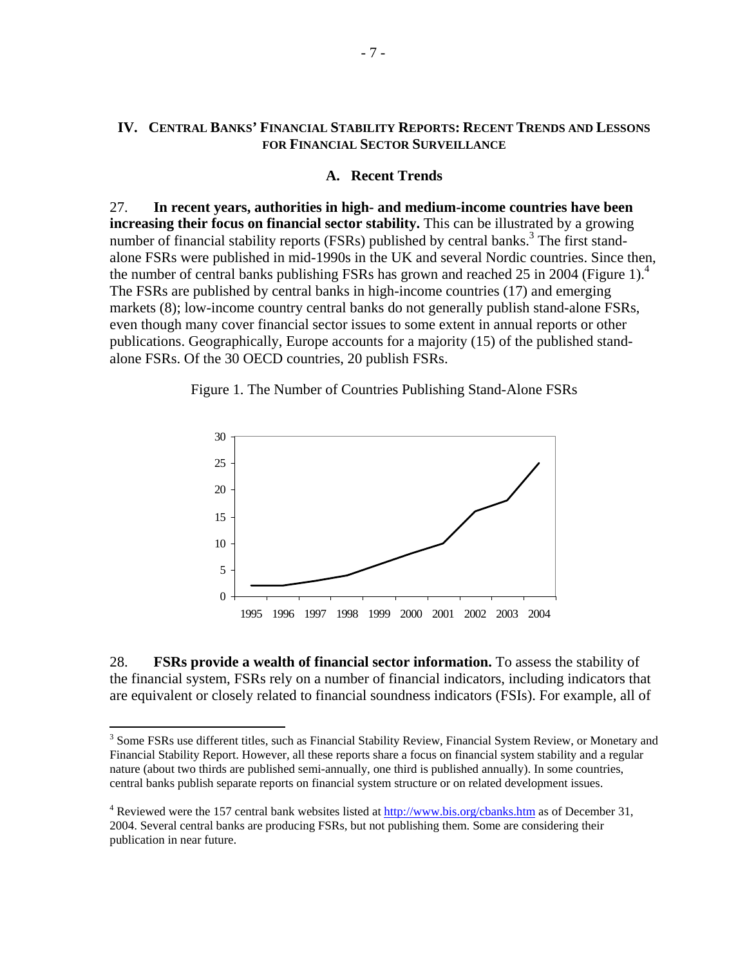## **IV. CENTRAL BANKS' FINANCIAL STABILITY REPORTS: RECENT TRENDS AND LESSONS FOR FINANCIAL SECTOR SURVEILLANCE**

#### **A. Recent Trends**

27. **In recent years, authorities in high- and medium-income countries have been increasing their focus on financial sector stability.** This can be illustrated by a growing number of financial stability reports (FSRs) published by central banks.<sup>3</sup> The first standalone FSRs were published in mid-1990s in the UK and several Nordic countries. Since then, the number of central banks publishing FSRs has grown and reached 25 in 2004 (Figure 1).<sup>4</sup> The FSRs are published by central banks in high-income countries (17) and emerging markets (8); low-income country central banks do not generally publish stand-alone FSRs, even though many cover financial sector issues to some extent in annual reports or other publications. Geographically, Europe accounts for a majority (15) of the published standalone FSRs. Of the 30 OECD countries, 20 publish FSRs.





28. **FSRs provide a wealth of financial sector information.** To assess the stability of the financial system, FSRs rely on a number of financial indicators, including indicators that are equivalent or closely related to financial soundness indicators (FSIs). For example, all of

<sup>&</sup>lt;sup>3</sup> Some FSRs use different titles, such as Financial Stability Review, Financial System Review, or Monetary and **1** Financial Stability Report. However, all these reports share a focus on financial system stability and a regular nature (about two thirds are published semi-annually, one third is published annually). In some countries, central banks publish separate reports on financial system structure or on related development issues.

<sup>&</sup>lt;sup>4</sup> Reviewed were the 157 central bank websites listed at  $\frac{http://www.bis.org/cbanks.htm}{http://www.bis.org/cbanks.htm}$  as of December 31, 2004. Several central banks are producing FSRs, but not publishing them. Some are considering their publication in near future.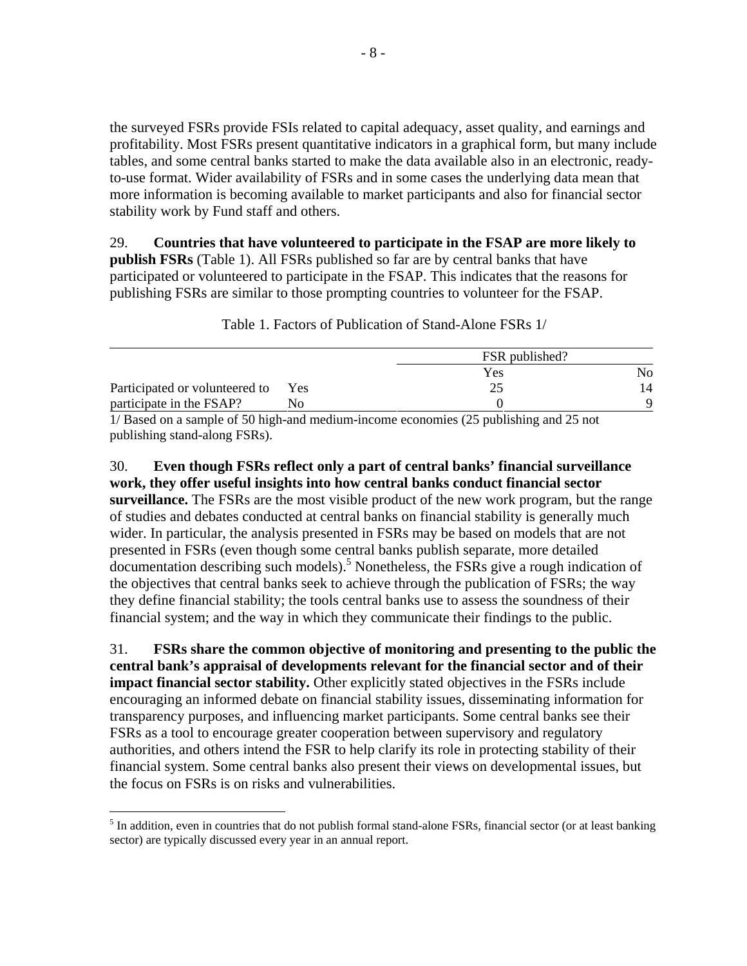the surveyed FSRs provide FSIs related to capital adequacy, asset quality, and earnings and profitability. Most FSRs present quantitative indicators in a graphical form, but many include tables, and some central banks started to make the data available also in an electronic, readyto-use format. Wider availability of FSRs and in some cases the underlying data mean that more information is becoming available to market participants and also for financial sector stability work by Fund staff and others.

29. **Countries that have volunteered to participate in the FSAP are more likely to publish FSRs** (Table 1). All FSRs published so far are by central banks that have participated or volunteered to participate in the FSAP. This indicates that the reasons for publishing FSRs are similar to those prompting countries to volunteer for the FSAP.

|                                |     | FSR published?                                                                                |    |  |
|--------------------------------|-----|-----------------------------------------------------------------------------------------------|----|--|
|                                |     | Yes                                                                                           | Nο |  |
| Participated or volunteered to | Yes |                                                                                               | 14 |  |
| participate in the FSAP?       |     |                                                                                               |    |  |
|                                |     | $1/\text{Bogod}$ on a sample of 50 high and modium income aconomias (25 publishing and 25 not |    |  |

Table 1. Factors of Publication of Stand-Alone FSRs 1/

1/ Based on a sample of 50 high-and medium-income economies (25 publishing and 25 not publishing stand-along FSRs).

30. **Even though FSRs reflect only a part of central banks' financial surveillance work, they offer useful insights into how central banks conduct financial sector surveillance.** The FSRs are the most visible product of the new work program, but the range of studies and debates conducted at central banks on financial stability is generally much wider. In particular, the analysis presented in FSRs may be based on models that are not presented in FSRs (even though some central banks publish separate, more detailed  $\alpha$  documentation describing such models).<sup>5</sup> Nonetheless, the FSRs give a rough indication of the objectives that central banks seek to achieve through the publication of FSRs; the way they define financial stability; the tools central banks use to assess the soundness of their financial system; and the way in which they communicate their findings to the public.

31. **FSRs share the common objective of monitoring and presenting to the public the central bank's appraisal of developments relevant for the financial sector and of their impact financial sector stability.** Other explicitly stated objectives in the FSRs include encouraging an informed debate on financial stability issues, disseminating information for transparency purposes, and influencing market participants. Some central banks see their FSRs as a tool to encourage greater cooperation between supervisory and regulatory authorities, and others intend the FSR to help clarify its role in protecting stability of their financial system. Some central banks also present their views on developmental issues, but the focus on FSRs is on risks and vulnerabilities.

1

<sup>&</sup>lt;sup>5</sup> In addition, even in countries that do not publish formal stand-alone FSRs, financial sector (or at least banking sector) are typically discussed every year in an annual report.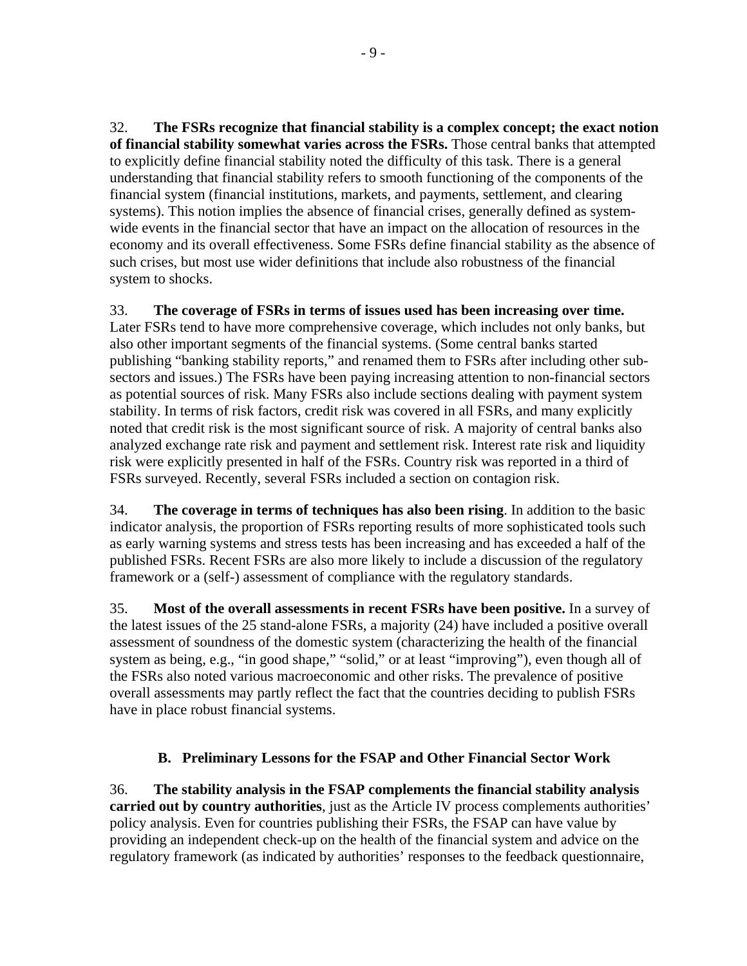32. **The FSRs recognize that financial stability is a complex concept; the exact notion of financial stability somewhat varies across the FSRs.** Those central banks that attempted to explicitly define financial stability noted the difficulty of this task. There is a general understanding that financial stability refers to smooth functioning of the components of the financial system (financial institutions, markets, and payments, settlement, and clearing systems). This notion implies the absence of financial crises, generally defined as systemwide events in the financial sector that have an impact on the allocation of resources in the economy and its overall effectiveness. Some FSRs define financial stability as the absence of such crises, but most use wider definitions that include also robustness of the financial system to shocks.

33. **The coverage of FSRs in terms of issues used has been increasing over time.**  Later FSRs tend to have more comprehensive coverage, which includes not only banks, but also other important segments of the financial systems. (Some central banks started publishing "banking stability reports," and renamed them to FSRs after including other subsectors and issues.) The FSRs have been paying increasing attention to non-financial sectors as potential sources of risk. Many FSRs also include sections dealing with payment system stability. In terms of risk factors, credit risk was covered in all FSRs, and many explicitly noted that credit risk is the most significant source of risk. A majority of central banks also analyzed exchange rate risk and payment and settlement risk. Interest rate risk and liquidity risk were explicitly presented in half of the FSRs. Country risk was reported in a third of FSRs surveyed. Recently, several FSRs included a section on contagion risk.

34. **The coverage in terms of techniques has also been rising**. In addition to the basic indicator analysis, the proportion of FSRs reporting results of more sophisticated tools such as early warning systems and stress tests has been increasing and has exceeded a half of the published FSRs. Recent FSRs are also more likely to include a discussion of the regulatory framework or a (self-) assessment of compliance with the regulatory standards.

35. **Most of the overall assessments in recent FSRs have been positive.** In a survey of the latest issues of the 25 stand-alone FSRs, a majority (24) have included a positive overall assessment of soundness of the domestic system (characterizing the health of the financial system as being, e.g., "in good shape," "solid," or at least "improving"), even though all of the FSRs also noted various macroeconomic and other risks. The prevalence of positive overall assessments may partly reflect the fact that the countries deciding to publish FSRs have in place robust financial systems.

# **B. Preliminary Lessons for the FSAP and Other Financial Sector Work**

36. **The stability analysis in the FSAP complements the financial stability analysis carried out by country authorities**, just as the Article IV process complements authorities' policy analysis. Even for countries publishing their FSRs, the FSAP can have value by providing an independent check-up on the health of the financial system and advice on the regulatory framework (as indicated by authorities' responses to the feedback questionnaire,